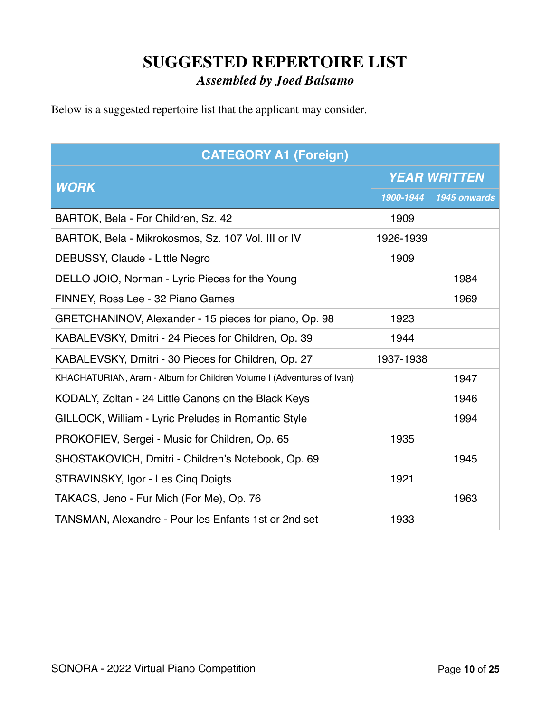## **SUGGESTED REPERTOIRE LIST** *Assembled by Joed Balsamo*

Below is a suggested repertoire list that the applicant may consider.

| <b>CATEGORY A1 (Foreign)</b>                                          |                     |              |
|-----------------------------------------------------------------------|---------------------|--------------|
|                                                                       | <b>YEAR WRITTEN</b> |              |
| <b>WORK</b>                                                           | 1900-1944           | 1945 onwards |
| BARTOK, Bela - For Children, Sz. 42                                   | 1909                |              |
| BARTOK, Bela - Mikrokosmos, Sz. 107 Vol. III or IV                    | 1926-1939           |              |
| DEBUSSY, Claude - Little Negro                                        | 1909                |              |
| DELLO JOIO, Norman - Lyric Pieces for the Young                       |                     | 1984         |
| FINNEY, Ross Lee - 32 Piano Games                                     |                     | 1969         |
| GRETCHANINOV, Alexander - 15 pieces for piano, Op. 98                 | 1923                |              |
| KABALEVSKY, Dmitri - 24 Pieces for Children, Op. 39                   | 1944                |              |
| KABALEVSKY, Dmitri - 30 Pieces for Children, Op. 27                   | 1937-1938           |              |
| KHACHATURIAN, Aram - Album for Children Volume I (Adventures of Ivan) |                     | 1947         |
| KODALY, Zoltan - 24 Little Canons on the Black Keys                   |                     | 1946         |
| GILLOCK, William - Lyric Preludes in Romantic Style                   |                     | 1994         |
| PROKOFIEV, Sergei - Music for Children, Op. 65                        | 1935                |              |
| SHOSTAKOVICH, Dmitri - Children's Notebook, Op. 69                    |                     | 1945         |
| STRAVINSKY, Igor - Les Cing Doigts                                    | 1921                |              |
| TAKACS, Jeno - Fur Mich (For Me), Op. 76                              |                     | 1963         |
| TANSMAN, Alexandre - Pour les Enfants 1st or 2nd set                  | 1933                |              |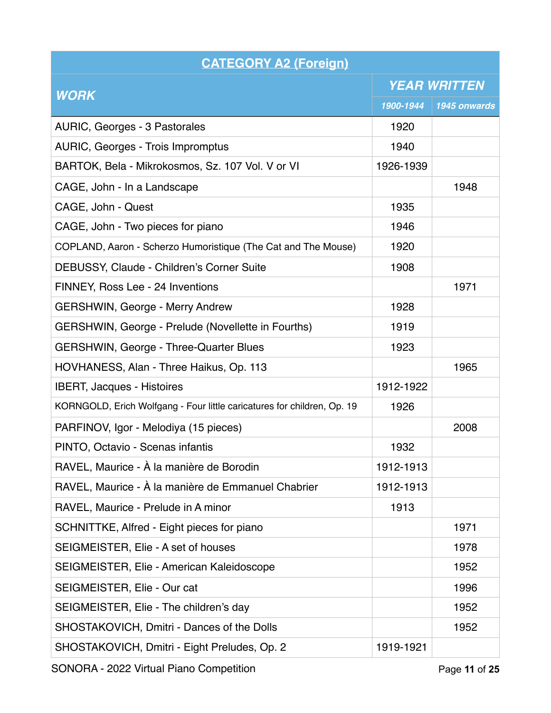| <b>CATEGORY A2 (Foreign)</b>                                            |                     |              |
|-------------------------------------------------------------------------|---------------------|--------------|
|                                                                         | <b>YEAR WRITTEN</b> |              |
| <b>WORK</b>                                                             | 1900-1944           | 1945 onwards |
| AURIC, Georges - 3 Pastorales                                           | 1920                |              |
| AURIC, Georges - Trois Impromptus                                       | 1940                |              |
| BARTOK, Bela - Mikrokosmos, Sz. 107 Vol. V or VI                        | 1926-1939           |              |
| CAGE, John - In a Landscape                                             |                     | 1948         |
| CAGE, John - Quest                                                      | 1935                |              |
| CAGE, John - Two pieces for piano                                       | 1946                |              |
| COPLAND, Aaron - Scherzo Humoristique (The Cat and The Mouse)           | 1920                |              |
| DEBUSSY, Claude - Children's Corner Suite                               | 1908                |              |
| FINNEY, Ross Lee - 24 Inventions                                        |                     | 1971         |
| <b>GERSHWIN, George - Merry Andrew</b>                                  | 1928                |              |
| GERSHWIN, George - Prelude (Novellette in Fourths)                      | 1919                |              |
| <b>GERSHWIN, George - Three-Quarter Blues</b>                           | 1923                |              |
| HOVHANESS, Alan - Three Haikus, Op. 113                                 |                     | 1965         |
| <b>IBERT, Jacques - Histoires</b>                                       | 1912-1922           |              |
| KORNGOLD, Erich Wolfgang - Four little caricatures for children, Op. 19 | 1926                |              |
| PARFINOV, Igor - Melodiya (15 pieces)                                   |                     | 2008         |
| PINTO, Octavio - Scenas infantis                                        | 1932                |              |
| RAVEL, Maurice - À la manière de Borodin                                | 1912-1913           |              |
| RAVEL, Maurice - À la manière de Emmanuel Chabrier                      | 1912-1913           |              |
| RAVEL, Maurice - Prelude in A minor                                     | 1913                |              |
| SCHNITTKE, Alfred - Eight pieces for piano                              |                     | 1971         |
| SEIGMEISTER, Elie - A set of houses                                     |                     | 1978         |
| SEIGMEISTER, Elie - American Kaleidoscope                               |                     | 1952         |
| SEIGMEISTER, Elie - Our cat                                             |                     | 1996         |
| SEIGMEISTER, Elie - The children's day                                  |                     | 1952         |
| SHOSTAKOVICH, Dmitri - Dances of the Dolls                              |                     | 1952         |
| SHOSTAKOVICH, Dmitri - Eight Preludes, Op. 2                            | 1919-1921           |              |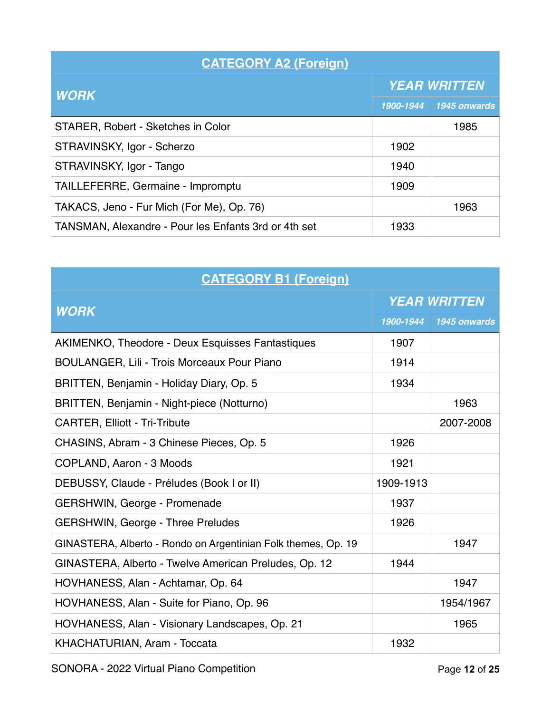| <b>CATEGORY A2 (Foreign)</b>                         |                     |              |
|------------------------------------------------------|---------------------|--------------|
| <b>WORK</b>                                          | <b>YEAR WRITTEN</b> |              |
|                                                      | 1900-1944           | 1945 onwards |
| STARER, Robert - Sketches in Color                   |                     | 1985         |
| STRAVINSKY, Igor - Scherzo                           | 1902                |              |
| STRAVINSKY, Igor - Tango                             | 1940                |              |
| TAILLEFERRE, Germaine - Impromptu                    | 1909                |              |
| TAKACS, Jeno - Fur Mich (For Me), Op. 76)            |                     | 1963         |
| TANSMAN, Alexandre - Pour les Enfants 3rd or 4th set | 1933                |              |

| <b>CATEGORY B1 (Foreign)</b>                                  |                     |              |
|---------------------------------------------------------------|---------------------|--------------|
| <b>WORK</b>                                                   | <b>YEAR WRITTEN</b> |              |
|                                                               | 1900-1944           | 1945 onwards |
| AKIMENKO, Theodore - Deux Esquisses Fantastiques              | 1907                |              |
| <b>BOULANGER, Lili - Trois Morceaux Pour Piano</b>            | 1914                |              |
| BRITTEN, Benjamin - Holiday Diary, Op. 5                      | 1934                |              |
| BRITTEN, Benjamin - Night-piece (Notturno)                    |                     | 1963         |
| <b>CARTER, Elliott - Tri-Tribute</b>                          |                     | 2007-2008    |
| CHASINS, Abram - 3 Chinese Pieces, Op. 5                      | 1926                |              |
| COPLAND, Aaron - 3 Moods                                      | 1921                |              |
| DEBUSSY, Claude - Préludes (Book I or II)                     | 1909-1913           |              |
| GERSHWIN, George - Promenade                                  | 1937                |              |
| <b>GERSHWIN, George - Three Preludes</b>                      | 1926                |              |
| GINASTERA, Alberto - Rondo on Argentinian Folk themes, Op. 19 |                     | 1947         |
| GINASTERA, Alberto - Twelve American Preludes, Op. 12         | 1944                |              |
| HOVHANESS, Alan - Achtamar, Op. 64                            |                     | 1947         |
| HOVHANESS, Alan - Suite for Piano, Op. 96                     |                     | 1954/1967    |
| HOVHANESS, Alan - Visionary Landscapes, Op. 21                |                     | 1965         |
| KHACHATURIAN, Aram - Toccata                                  | 1932                |              |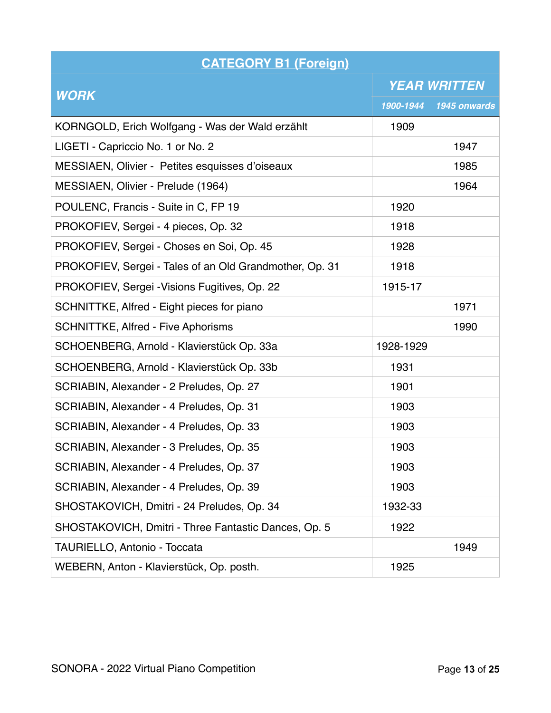| <b>CATEGORY B1 (Foreign)</b>                            |                     |              |
|---------------------------------------------------------|---------------------|--------------|
|                                                         | <b>YEAR WRITTEN</b> |              |
| <b>WORK</b>                                             | 1900-1944           | 1945 onwards |
| KORNGOLD, Erich Wolfgang - Was der Wald erzählt         | 1909                |              |
| LIGETI - Capriccio No. 1 or No. 2                       |                     | 1947         |
| MESSIAEN, Olivier - Petites esquisses d'oiseaux         |                     | 1985         |
| MESSIAEN, Olivier - Prelude (1964)                      |                     | 1964         |
| POULENC, Francis - Suite in C, FP 19                    | 1920                |              |
| PROKOFIEV, Sergei - 4 pieces, Op. 32                    | 1918                |              |
| PROKOFIEV, Sergei - Choses en Soi, Op. 45               | 1928                |              |
| PROKOFIEV, Sergei - Tales of an Old Grandmother, Op. 31 | 1918                |              |
| PROKOFIEV, Sergei - Visions Fugitives, Op. 22           | 1915-17             |              |
| SCHNITTKE, Alfred - Eight pieces for piano              |                     | 1971         |
| <b>SCHNITTKE, Alfred - Five Aphorisms</b>               |                     | 1990         |
| SCHOENBERG, Arnold - Klavierstück Op. 33a               | 1928-1929           |              |
| SCHOENBERG, Arnold - Klavierstück Op. 33b               | 1931                |              |
| SCRIABIN, Alexander - 2 Preludes, Op. 27                | 1901                |              |
| SCRIABIN, Alexander - 4 Preludes, Op. 31                | 1903                |              |
| SCRIABIN, Alexander - 4 Preludes, Op. 33                | 1903                |              |
| SCRIABIN, Alexander - 3 Preludes, Op. 35                | 1903                |              |
| SCRIABIN, Alexander - 4 Preludes, Op. 37                | 1903                |              |
| SCRIABIN, Alexander - 4 Preludes, Op. 39                | 1903                |              |
| SHOSTAKOVICH, Dmitri - 24 Preludes, Op. 34              | 1932-33             |              |
| SHOSTAKOVICH, Dmitri - Three Fantastic Dances, Op. 5    | 1922                |              |
| TAURIELLO, Antonio - Toccata                            |                     | 1949         |
| WEBERN, Anton - Klavierstück, Op. posth.                | 1925                |              |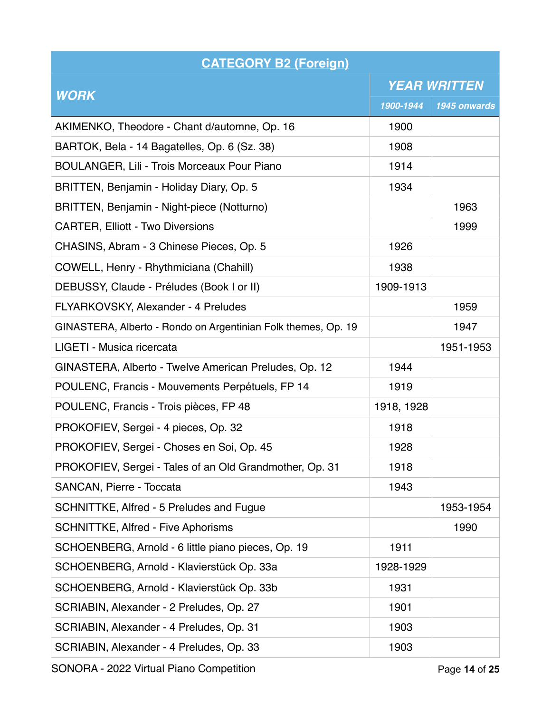| <b>CATEGORY B2 (Foreign)</b>                                  |                     |              |
|---------------------------------------------------------------|---------------------|--------------|
|                                                               | <b>YEAR WRITTEN</b> |              |
| <b>WORK</b>                                                   | 1900-1944           | 1945 onwards |
| AKIMENKO, Theodore - Chant d/automne, Op. 16                  | 1900                |              |
| BARTOK, Bela - 14 Bagatelles, Op. 6 (Sz. 38)                  | 1908                |              |
| <b>BOULANGER, Lili - Trois Morceaux Pour Piano</b>            | 1914                |              |
| BRITTEN, Benjamin - Holiday Diary, Op. 5                      | 1934                |              |
| BRITTEN, Benjamin - Night-piece (Notturno)                    |                     | 1963         |
| <b>CARTER, Elliott - Two Diversions</b>                       |                     | 1999         |
| CHASINS, Abram - 3 Chinese Pieces, Op. 5                      | 1926                |              |
| COWELL, Henry - Rhythmiciana (Chahill)                        | 1938                |              |
| DEBUSSY, Claude - Préludes (Book I or II)                     | 1909-1913           |              |
| FLYARKOVSKY, Alexander - 4 Preludes                           |                     | 1959         |
| GINASTERA, Alberto - Rondo on Argentinian Folk themes, Op. 19 |                     | 1947         |
| LIGETI - Musica ricercata                                     |                     | 1951-1953    |
| GINASTERA, Alberto - Twelve American Preludes, Op. 12         | 1944                |              |
| POULENC, Francis - Mouvements Perpétuels, FP 14               | 1919                |              |
| POULENC, Francis - Trois pièces, FP 48                        | 1918, 1928          |              |
| PROKOFIEV, Sergei - 4 pieces, Op. 32                          | 1918                |              |
| PROKOFIEV, Sergei - Choses en Soi, Op. 45                     | 1928                |              |
| PROKOFIEV, Sergei - Tales of an Old Grandmother, Op. 31       | 1918                |              |
| SANCAN, Pierre - Toccata                                      | 1943                |              |
| SCHNITTKE, Alfred - 5 Preludes and Fugue                      |                     | 1953-1954    |
| <b>SCHNITTKE, Alfred - Five Aphorisms</b>                     |                     | 1990         |
| SCHOENBERG, Arnold - 6 little piano pieces, Op. 19            | 1911                |              |
| SCHOENBERG, Arnold - Klavierstück Op. 33a                     | 1928-1929           |              |
| SCHOENBERG, Arnold - Klavierstück Op. 33b                     | 1931                |              |
| SCRIABIN, Alexander - 2 Preludes, Op. 27                      | 1901                |              |
| SCRIABIN, Alexander - 4 Preludes, Op. 31                      | 1903                |              |
| SCRIABIN, Alexander - 4 Preludes, Op. 33                      | 1903                |              |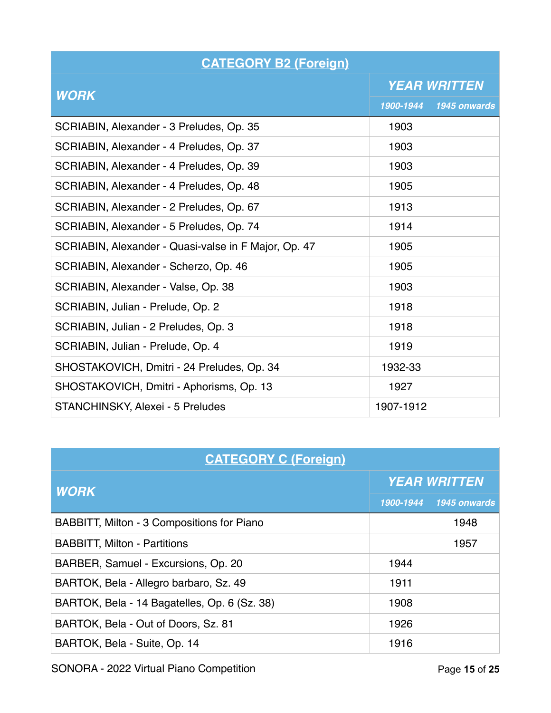| <b>CATEGORY B2 (Foreign)</b>                         |                     |              |
|------------------------------------------------------|---------------------|--------------|
|                                                      | <b>YEAR WRITTEN</b> |              |
| <b>WORK</b>                                          | 1900-1944           | 1945 onwards |
| SCRIABIN, Alexander - 3 Preludes, Op. 35             | 1903                |              |
| SCRIABIN, Alexander - 4 Preludes, Op. 37             | 1903                |              |
| SCRIABIN, Alexander - 4 Preludes, Op. 39             | 1903                |              |
| SCRIABIN, Alexander - 4 Preludes, Op. 48             | 1905                |              |
| SCRIABIN, Alexander - 2 Preludes, Op. 67             | 1913                |              |
| SCRIABIN, Alexander - 5 Preludes, Op. 74             | 1914                |              |
| SCRIABIN, Alexander - Quasi-valse in F Major, Op. 47 | 1905                |              |
| SCRIABIN, Alexander - Scherzo, Op. 46                | 1905                |              |
| SCRIABIN, Alexander - Valse, Op. 38                  | 1903                |              |
| SCRIABIN, Julian - Prelude, Op. 2                    | 1918                |              |
| SCRIABIN, Julian - 2 Preludes, Op. 3                 | 1918                |              |
| SCRIABIN, Julian - Prelude, Op. 4                    | 1919                |              |
| SHOSTAKOVICH, Dmitri - 24 Preludes, Op. 34           | 1932-33             |              |
| SHOSTAKOVICH, Dmitri - Aphorisms, Op. 13             | 1927                |              |
| STANCHINSKY, Alexei - 5 Preludes                     | 1907-1912           |              |

| <b>CATEGORY C (Foreign)</b>                  |                     |              |
|----------------------------------------------|---------------------|--------------|
| <b>WORK</b>                                  | <b>YEAR WRITTEN</b> |              |
|                                              | 1900-1944           | 1945 onwards |
| BABBITT, Milton - 3 Compositions for Piano   |                     | 1948         |
| <b>BABBITT, Milton - Partitions</b>          |                     | 1957         |
| BARBER, Samuel - Excursions, Op. 20          | 1944                |              |
| BARTOK, Bela - Allegro barbaro, Sz. 49       | 1911                |              |
| BARTOK, Bela - 14 Bagatelles, Op. 6 (Sz. 38) | 1908                |              |
| BARTOK, Bela - Out of Doors, Sz. 81          | 1926                |              |
| BARTOK, Bela - Suite, Op. 14                 | 1916                |              |

SONORA - 2022 Virtual Piano Competition **Page 15** of 25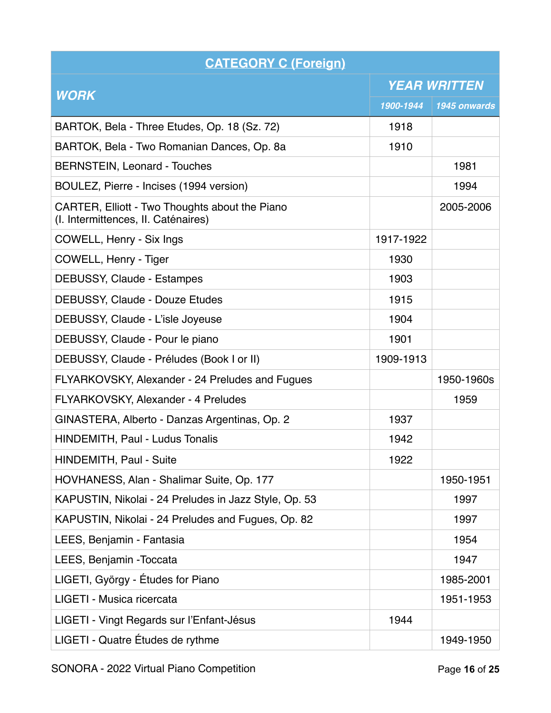| <b>CATEGORY C (Foreign)</b>                                                           |                     |              |
|---------------------------------------------------------------------------------------|---------------------|--------------|
|                                                                                       | <b>YEAR WRITTEN</b> |              |
| <b>WORK</b>                                                                           | 1900-1944           | 1945 onwards |
| BARTOK, Bela - Three Etudes, Op. 18 (Sz. 72)                                          | 1918                |              |
| BARTOK, Bela - Two Romanian Dances, Op. 8a                                            | 1910                |              |
| <b>BERNSTEIN, Leonard - Touches</b>                                                   |                     | 1981         |
| BOULEZ, Pierre - Incises (1994 version)                                               |                     | 1994         |
| CARTER, Elliott - Two Thoughts about the Piano<br>(I. Intermittences, II. Caténaires) |                     | 2005-2006    |
| COWELL, Henry - Six Ings                                                              | 1917-1922           |              |
| COWELL, Henry - Tiger                                                                 | 1930                |              |
| <b>DEBUSSY, Claude - Estampes</b>                                                     | 1903                |              |
| <b>DEBUSSY, Claude - Douze Etudes</b>                                                 | 1915                |              |
| DEBUSSY, Claude - L'isle Joyeuse                                                      | 1904                |              |
| DEBUSSY, Claude - Pour le piano                                                       | 1901                |              |
| DEBUSSY, Claude - Préludes (Book I or II)                                             | 1909-1913           |              |
| FLYARKOVSKY, Alexander - 24 Preludes and Fugues                                       |                     | 1950-1960s   |
| FLYARKOVSKY, Alexander - 4 Preludes                                                   |                     | 1959         |
| GINASTERA, Alberto - Danzas Argentinas, Op. 2                                         | 1937                |              |
| <b>HINDEMITH, Paul - Ludus Tonalis</b>                                                | 1942                |              |
| HINDEMITH, Paul - Suite                                                               | 1922                |              |
| HOVHANESS, Alan - Shalimar Suite, Op. 177                                             |                     | 1950-1951    |
| KAPUSTIN, Nikolai - 24 Preludes in Jazz Style, Op. 53                                 |                     | 1997         |
| KAPUSTIN, Nikolai - 24 Preludes and Fugues, Op. 82                                    |                     | 1997         |
| LEES, Benjamin - Fantasia                                                             |                     | 1954         |
| LEES, Benjamin - Toccata                                                              |                     | 1947         |
| LIGETI, György - Études for Piano                                                     |                     | 1985-2001    |
| LIGETI - Musica ricercata                                                             |                     | 1951-1953    |
| LIGETI - Vingt Regards sur l'Enfant-Jésus                                             | 1944                |              |
| LIGETI - Quatre Études de rythme                                                      |                     | 1949-1950    |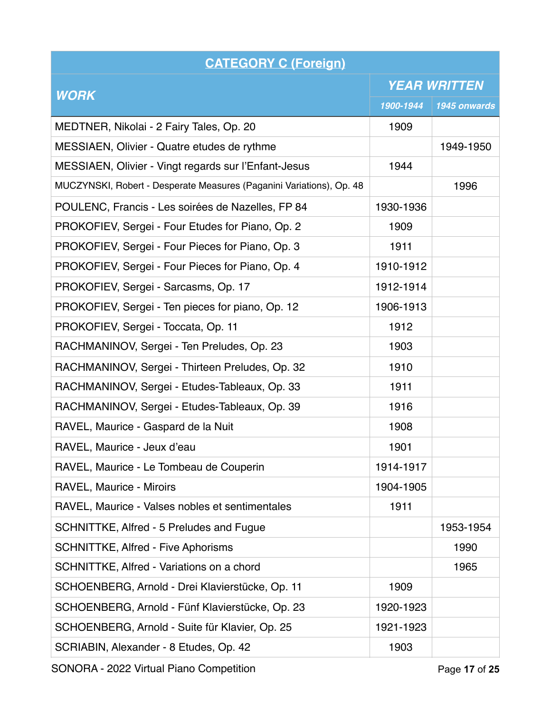| <b>CATEGORY C (Foreign)</b>                                          |                     |              |
|----------------------------------------------------------------------|---------------------|--------------|
|                                                                      | <b>YEAR WRITTEN</b> |              |
| <b>WORK</b>                                                          | 1900-1944           | 1945 onwards |
| MEDTNER, Nikolai - 2 Fairy Tales, Op. 20                             | 1909                |              |
| MESSIAEN, Olivier - Quatre etudes de rythme                          |                     | 1949-1950    |
| MESSIAEN, Olivier - Vingt regards sur l'Enfant-Jesus                 | 1944                |              |
| MUCZYNSKI, Robert - Desperate Measures (Paganini Variations), Op. 48 |                     | 1996         |
| POULENC, Francis - Les soirées de Nazelles, FP 84                    | 1930-1936           |              |
| PROKOFIEV, Sergei - Four Etudes for Piano, Op. 2                     | 1909                |              |
| PROKOFIEV, Sergei - Four Pieces for Piano, Op. 3                     | 1911                |              |
| PROKOFIEV, Sergei - Four Pieces for Piano, Op. 4                     | 1910-1912           |              |
| PROKOFIEV, Sergei - Sarcasms, Op. 17                                 | 1912-1914           |              |
| PROKOFIEV, Sergei - Ten pieces for piano, Op. 12                     | 1906-1913           |              |
| PROKOFIEV, Sergei - Toccata, Op. 11                                  | 1912                |              |
| RACHMANINOV, Sergei - Ten Preludes, Op. 23                           | 1903                |              |
| RACHMANINOV, Sergei - Thirteen Preludes, Op. 32                      | 1910                |              |
| RACHMANINOV, Sergei - Etudes-Tableaux, Op. 33                        | 1911                |              |
| RACHMANINOV, Sergei - Etudes-Tableaux, Op. 39                        | 1916                |              |
| RAVEL, Maurice - Gaspard de la Nuit                                  | 1908                |              |
| RAVEL, Maurice - Jeux d'eau                                          | 1901                |              |
| RAVEL, Maurice - Le Tombeau de Couperin                              | 1914-1917           |              |
| <b>RAVEL, Maurice - Miroirs</b>                                      | 1904-1905           |              |
| RAVEL, Maurice - Valses nobles et sentimentales                      | 1911                |              |
| SCHNITTKE, Alfred - 5 Preludes and Fugue                             |                     | 1953-1954    |
| <b>SCHNITTKE, Alfred - Five Aphorisms</b>                            |                     | 1990         |
| SCHNITTKE, Alfred - Variations on a chord                            |                     | 1965         |
| SCHOENBERG, Arnold - Drei Klavierstücke, Op. 11                      | 1909                |              |
| SCHOENBERG, Arnold - Fünf Klavierstücke, Op. 23                      | 1920-1923           |              |
| SCHOENBERG, Arnold - Suite für Klavier, Op. 25                       | 1921-1923           |              |
| SCRIABIN, Alexander - 8 Etudes, Op. 42                               | 1903                |              |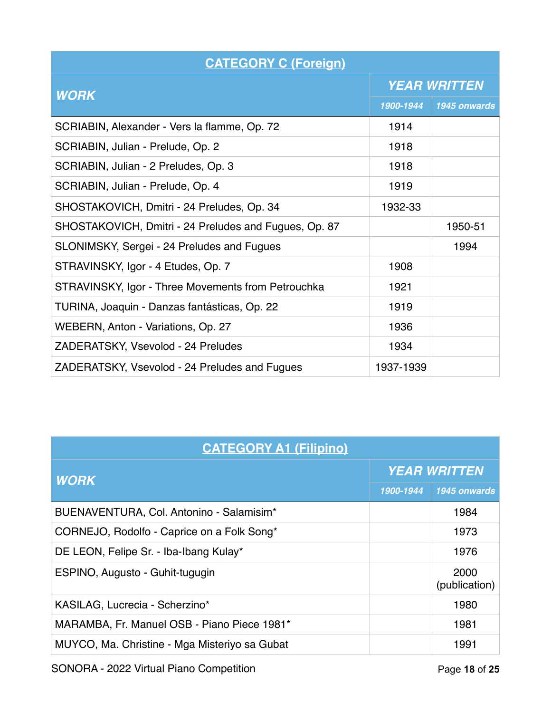| <b>CATEGORY C (Foreign)</b>                           |                     |              |
|-------------------------------------------------------|---------------------|--------------|
| <b>WORK</b>                                           | <b>YEAR WRITTEN</b> |              |
|                                                       | 1900-1944           | 1945 onwards |
| SCRIABIN, Alexander - Vers la flamme, Op. 72          | 1914                |              |
| SCRIABIN, Julian - Prelude, Op. 2                     | 1918                |              |
| SCRIABIN, Julian - 2 Preludes, Op. 3                  | 1918                |              |
| SCRIABIN, Julian - Prelude, Op. 4                     | 1919                |              |
| SHOSTAKOVICH, Dmitri - 24 Preludes, Op. 34            | 1932-33             |              |
| SHOSTAKOVICH, Dmitri - 24 Preludes and Fugues, Op. 87 |                     | 1950-51      |
| SLONIMSKY, Sergei - 24 Preludes and Fugues            |                     | 1994         |
| STRAVINSKY, Igor - 4 Etudes, Op. 7                    | 1908                |              |
| STRAVINSKY, Igor - Three Movements from Petrouchka    | 1921                |              |
| TURINA, Joaquin - Danzas fantásticas, Op. 22          | 1919                |              |
| WEBERN, Anton - Variations, Op. 27                    | 1936                |              |
| ZADERATSKY, Vsevolod - 24 Preludes                    | 1934                |              |
| ZADERATSKY, Vsevolod - 24 Preludes and Fugues         | 1937-1939           |              |

| <b>CATEGORY A1 (Filipino)</b>                 |                     |                       |
|-----------------------------------------------|---------------------|-----------------------|
| <b>WORK</b>                                   | <b>YEAR WRITTEN</b> |                       |
|                                               | 1900-1944           | 1945 onwards          |
| BUENAVENTURA, Col. Antonino - Salamisim*      |                     | 1984                  |
| CORNEJO, Rodolfo - Caprice on a Folk Song*    |                     | 1973                  |
| DE LEON, Felipe Sr. - Iba-Ibang Kulay*        |                     | 1976                  |
| ESPINO, Augusto - Guhit-tugugin               |                     | 2000<br>(publication) |
| KASILAG, Lucrecia - Scherzino*                |                     | 1980                  |
| MARAMBA, Fr. Manuel OSB - Piano Piece 1981*   |                     | 1981                  |
| MUYCO, Ma. Christine - Mga Misteriyo sa Gubat |                     | 1991                  |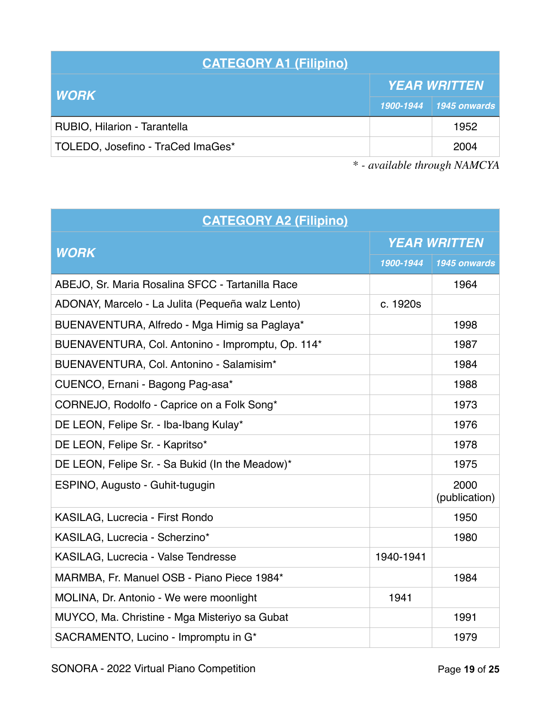| <b>CATEGORY A1 (Filipino)</b>     |                     |                        |
|-----------------------------------|---------------------|------------------------|
| <b>WORK</b>                       | <b>YEAR WRITTEN</b> |                        |
|                                   |                     | 1900-1944 1945 onwards |
| RUBIO, Hilarion - Tarantella      |                     | 1952                   |
| TOLEDO, Josefino - TraCed ImaGes* |                     | 2004                   |

| <b>CATEGORY A2 (Filipino)</b>                     |                     |                       |
|---------------------------------------------------|---------------------|-----------------------|
| <b>WORK</b>                                       | <b>YEAR WRITTEN</b> |                       |
|                                                   | 1900-1944           | 1945 onwards          |
| ABEJO, Sr. Maria Rosalina SFCC - Tartanilla Race  |                     | 1964                  |
| ADONAY, Marcelo - La Julita (Pequeña walz Lento)  | c. 1920s            |                       |
| BUENAVENTURA, Alfredo - Mga Himig sa Paglaya*     |                     | 1998                  |
| BUENAVENTURA, Col. Antonino - Impromptu, Op. 114* |                     | 1987                  |
| BUENAVENTURA, Col. Antonino - Salamisim*          |                     | 1984                  |
| CUENCO, Ernani - Bagong Pag-asa*                  |                     | 1988                  |
| CORNEJO, Rodolfo - Caprice on a Folk Song*        |                     | 1973                  |
| DE LEON, Felipe Sr. - Iba-Ibang Kulay*            |                     | 1976                  |
| DE LEON, Felipe Sr. - Kapritso*                   |                     | 1978                  |
| DE LEON, Felipe Sr. - Sa Bukid (In the Meadow)*   |                     | 1975                  |
| ESPINO, Augusto - Guhit-tugugin                   |                     | 2000<br>(publication) |
| KASILAG, Lucrecia - First Rondo                   |                     | 1950                  |
| KASILAG, Lucrecia - Scherzino*                    |                     | 1980                  |
| KASILAG, Lucrecia - Valse Tendresse               | 1940-1941           |                       |
| MARMBA, Fr. Manuel OSB - Piano Piece 1984*        |                     | 1984                  |
| MOLINA, Dr. Antonio - We were moonlight           | 1941                |                       |
| MUYCO, Ma. Christine - Mga Misteriyo sa Gubat     |                     | 1991                  |
| SACRAMENTO, Lucino - Impromptu in G*              |                     | 1979                  |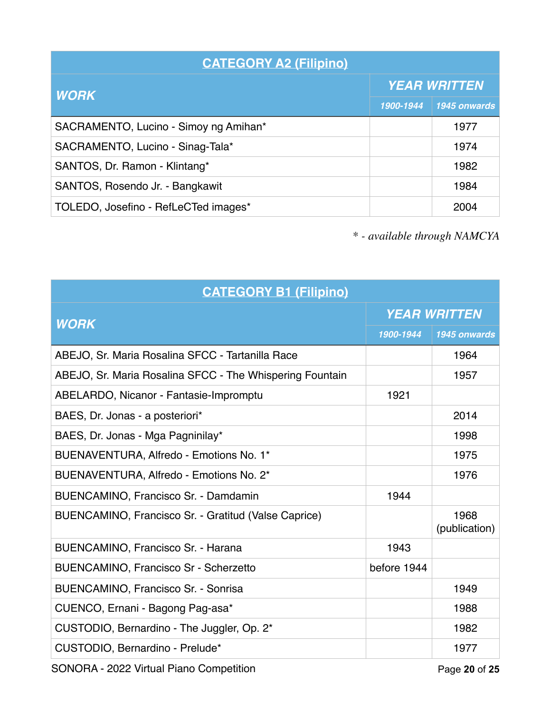| <b>CATEGORY A2 (Filipino)</b>         |                     |              |
|---------------------------------------|---------------------|--------------|
| <b>WORK</b>                           | <b>YEAR WRITTEN</b> |              |
|                                       | 1900-1944           | 1945 onwards |
| SACRAMENTO, Lucino - Simoy ng Amihan* |                     | 1977         |
| SACRAMENTO, Lucino - Sinag-Tala*      |                     | 1974         |
| SANTOS, Dr. Ramon - Klintang*         |                     | 1982         |
| SANTOS, Rosendo Jr. - Bangkawit       |                     | 1984         |
| TOLEDO, Josefino - RefLeCTed images*  |                     | 2004         |

| <b>CATEGORY B1 (Filipino)</b>                            |                     |                       |
|----------------------------------------------------------|---------------------|-----------------------|
| <b>WORK</b>                                              | <b>YEAR WRITTEN</b> |                       |
|                                                          | 1900-1944           | 1945 onwards          |
| ABEJO, Sr. Maria Rosalina SFCC - Tartanilla Race         |                     | 1964                  |
| ABEJO, Sr. Maria Rosalina SFCC - The Whispering Fountain |                     | 1957                  |
| ABELARDO, Nicanor - Fantasie-Impromptu                   | 1921                |                       |
| BAES, Dr. Jonas - a posteriori*                          |                     | 2014                  |
| BAES, Dr. Jonas - Mga Pagninilay*                        |                     | 1998                  |
| BUENAVENTURA, Alfredo - Emotions No. 1*                  |                     | 1975                  |
| BUENAVENTURA, Alfredo - Emotions No. 2*                  |                     | 1976                  |
| BUENCAMINO, Francisco Sr. - Damdamin                     | 1944                |                       |
| BUENCAMINO, Francisco Sr. - Gratitud (Valse Caprice)     |                     | 1968<br>(publication) |
| BUENCAMINO, Francisco Sr. - Harana                       | 1943                |                       |
| BUENCAMINO, Francisco Sr - Scherzetto                    | before 1944         |                       |
| BUENCAMINO, Francisco Sr. - Sonrisa                      |                     | 1949                  |
| CUENCO, Ernani - Bagong Pag-asa*                         |                     | 1988                  |
| CUSTODIO, Bernardino - The Juggler, Op. 2*               |                     | 1982                  |
| CUSTODIO, Bernardino - Prelude*                          |                     | 1977                  |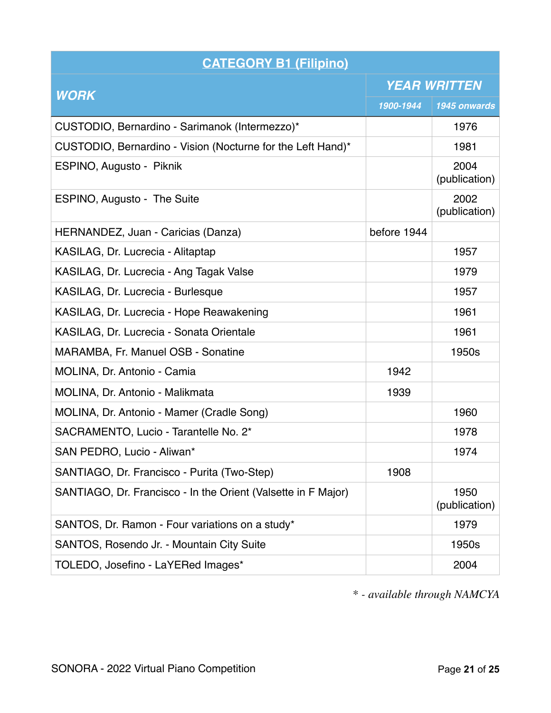| <b>CATEGORY B1 (Filipino)</b>                                 |                     |                       |
|---------------------------------------------------------------|---------------------|-----------------------|
|                                                               | <b>YEAR WRITTEN</b> |                       |
| <b>WORK</b>                                                   | 1900-1944           | 1945 onwards          |
| CUSTODIO, Bernardino - Sarimanok (Intermezzo)*                |                     | 1976                  |
| CUSTODIO, Bernardino - Vision (Nocturne for the Left Hand)*   |                     | 1981                  |
| ESPINO, Augusto - Piknik                                      |                     | 2004<br>(publication) |
| ESPINO, Augusto - The Suite                                   |                     | 2002<br>(publication) |
| HERNANDEZ, Juan - Caricias (Danza)                            | before 1944         |                       |
| KASILAG, Dr. Lucrecia - Alitaptap                             |                     | 1957                  |
| KASILAG, Dr. Lucrecia - Ang Tagak Valse                       |                     | 1979                  |
| KASILAG, Dr. Lucrecia - Burlesque                             |                     | 1957                  |
| KASILAG, Dr. Lucrecia - Hope Reawakening                      |                     | 1961                  |
| KASILAG, Dr. Lucrecia - Sonata Orientale                      |                     | 1961                  |
| MARAMBA, Fr. Manuel OSB - Sonatine                            |                     | 1950s                 |
| MOLINA, Dr. Antonio - Camia                                   | 1942                |                       |
| MOLINA, Dr. Antonio - Malikmata                               | 1939                |                       |
| MOLINA, Dr. Antonio - Mamer (Cradle Song)                     |                     | 1960                  |
| SACRAMENTO, Lucio - Tarantelle No. 2*                         |                     | 1978                  |
| SAN PEDRO, Lucio - Aliwan*                                    |                     | 1974                  |
| SANTIAGO, Dr. Francisco - Purita (Two-Step)                   | 1908                |                       |
| SANTIAGO, Dr. Francisco - In the Orient (Valsette in F Major) |                     | 1950<br>(publication) |
| SANTOS, Dr. Ramon - Four variations on a study*               |                     | 1979                  |
| SANTOS, Rosendo Jr. - Mountain City Suite                     |                     | 1950s                 |
| TOLEDO, Josefino - LaYERed Images*                            |                     | 2004                  |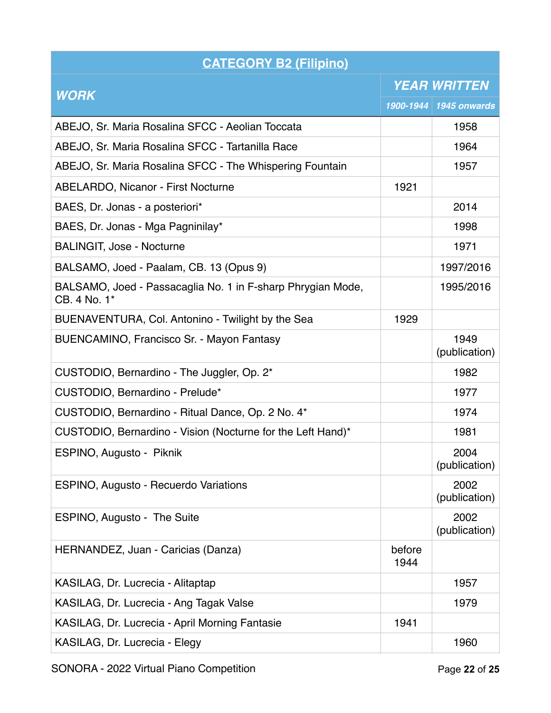| <b>CATEGORY B2 (Filipino)</b>                                               |                     |                        |
|-----------------------------------------------------------------------------|---------------------|------------------------|
|                                                                             | <b>YEAR WRITTEN</b> |                        |
| <b>WORK</b>                                                                 |                     | 1900-1944 1945 onwards |
| ABEJO, Sr. Maria Rosalina SFCC - Aeolian Toccata                            |                     | 1958                   |
| ABEJO, Sr. Maria Rosalina SFCC - Tartanilla Race                            |                     | 1964                   |
| ABEJO, Sr. Maria Rosalina SFCC - The Whispering Fountain                    |                     | 1957                   |
| <b>ABELARDO, Nicanor - First Nocturne</b>                                   | 1921                |                        |
| BAES, Dr. Jonas - a posteriori*                                             |                     | 2014                   |
| BAES, Dr. Jonas - Mga Pagninilay*                                           |                     | 1998                   |
| <b>BALINGIT, Jose - Nocturne</b>                                            |                     | 1971                   |
| BALSAMO, Joed - Paalam, CB. 13 (Opus 9)                                     |                     | 1997/2016              |
| BALSAMO, Joed - Passacaglia No. 1 in F-sharp Phrygian Mode,<br>CB. 4 No. 1* |                     | 1995/2016              |
| BUENAVENTURA, Col. Antonino - Twilight by the Sea                           | 1929                |                        |
| <b>BUENCAMINO, Francisco Sr. - Mayon Fantasy</b>                            |                     | 1949<br>(publication)  |
| CUSTODIO, Bernardino - The Juggler, Op. 2*                                  |                     | 1982                   |
| CUSTODIO, Bernardino - Prelude*                                             |                     | 1977                   |
| CUSTODIO, Bernardino - Ritual Dance, Op. 2 No. 4*                           |                     | 1974                   |
| CUSTODIO, Bernardino - Vision (Nocturne for the Left Hand)*                 |                     | 1981                   |
| ESPINO, Augusto - Piknik                                                    |                     | 2004<br>(publication)  |
| ESPINO, Augusto - Recuerdo Variations                                       |                     | 2002<br>(publication)  |
| ESPINO, Augusto - The Suite                                                 |                     | 2002<br>(publication)  |
| HERNANDEZ, Juan - Caricias (Danza)                                          | before<br>1944      |                        |
| KASILAG, Dr. Lucrecia - Alitaptap                                           |                     | 1957                   |
| KASILAG, Dr. Lucrecia - Ang Tagak Valse                                     |                     | 1979                   |
| KASILAG, Dr. Lucrecia - April Morning Fantasie                              | 1941                |                        |
| KASILAG, Dr. Lucrecia - Elegy                                               |                     | 1960                   |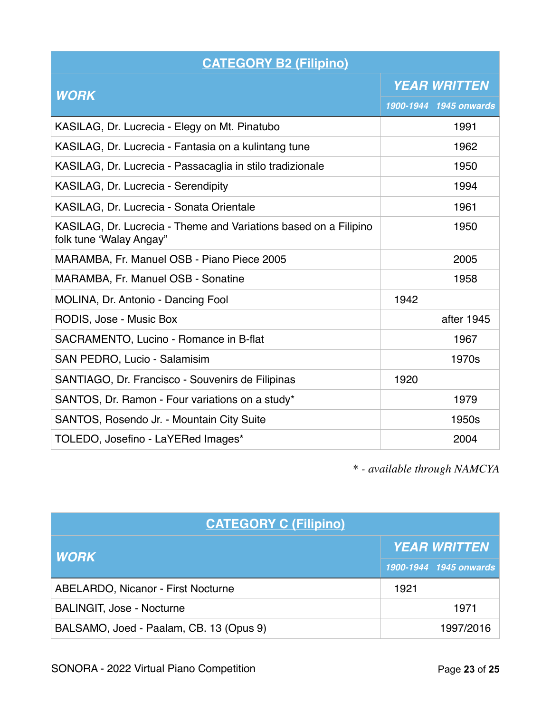| <b>CATEGORY B2 (Filipino)</b>                                                               |                     |                        |
|---------------------------------------------------------------------------------------------|---------------------|------------------------|
|                                                                                             | <b>YEAR WRITTEN</b> |                        |
| <b>WORK</b>                                                                                 |                     | 1900-1944 1945 onwards |
| KASILAG, Dr. Lucrecia - Elegy on Mt. Pinatubo                                               |                     | 1991                   |
| KASILAG, Dr. Lucrecia - Fantasia on a kulintang tune                                        |                     | 1962                   |
| KASILAG, Dr. Lucrecia - Passacaglia in stilo tradizionale                                   |                     | 1950                   |
| KASILAG, Dr. Lucrecia - Serendipity                                                         |                     | 1994                   |
| KASILAG, Dr. Lucrecia - Sonata Orientale                                                    |                     | 1961                   |
| KASILAG, Dr. Lucrecia - Theme and Variations based on a Filipino<br>folk tune 'Walay Angay" |                     | 1950                   |
| MARAMBA, Fr. Manuel OSB - Piano Piece 2005                                                  |                     | 2005                   |
| MARAMBA, Fr. Manuel OSB - Sonatine                                                          |                     | 1958                   |
| MOLINA, Dr. Antonio - Dancing Fool                                                          | 1942                |                        |
| RODIS, Jose - Music Box                                                                     |                     | after 1945             |
| SACRAMENTO, Lucino - Romance in B-flat                                                      |                     | 1967                   |
| SAN PEDRO, Lucio - Salamisim                                                                |                     | 1970s                  |
| SANTIAGO, Dr. Francisco - Souvenirs de Filipinas                                            | 1920                |                        |
| SANTOS, Dr. Ramon - Four variations on a study*                                             |                     | 1979                   |
| SANTOS, Rosendo Jr. - Mountain City Suite                                                   |                     | 1950s                  |
| TOLEDO, Josefino - LaYERed Images*                                                          |                     | 2004                   |

| <b>CATEGORY C (Filipino)</b>              |      |                        |  |
|-------------------------------------------|------|------------------------|--|
| <b>WORK</b>                               |      | <b>YEAR WRITTEN</b>    |  |
|                                           |      | 1900-1944 1945 onwards |  |
| <b>ABELARDO, Nicanor - First Nocturne</b> | 1921 |                        |  |
| <b>BALINGIT, Jose - Nocturne</b>          |      | 1971                   |  |
| BALSAMO, Joed - Paalam, CB. 13 (Opus 9)   |      | 1997/2016              |  |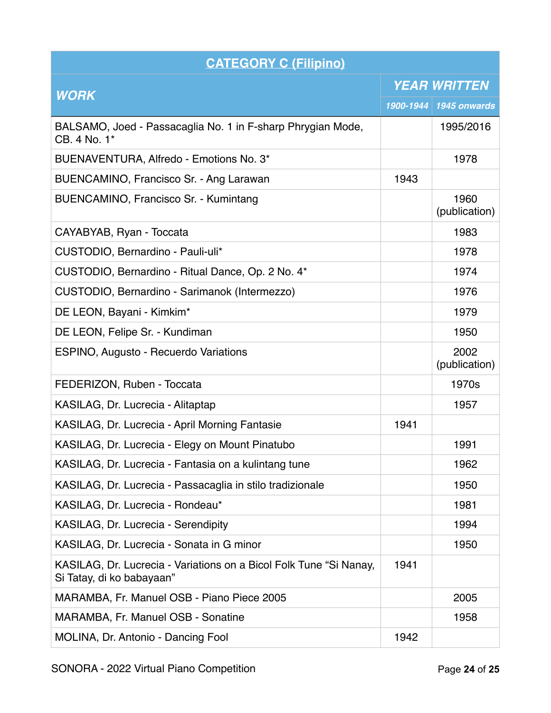| <b>CATEGORY C (Filipino)</b>                                                                    |                     |                        |
|-------------------------------------------------------------------------------------------------|---------------------|------------------------|
|                                                                                                 | <b>YEAR WRITTEN</b> |                        |
| <b>WORK</b>                                                                                     |                     | 1900-1944 1945 onwards |
| BALSAMO, Joed - Passacaglia No. 1 in F-sharp Phrygian Mode,<br>CB. 4 No. 1*                     |                     | 1995/2016              |
| BUENAVENTURA, Alfredo - Emotions No. 3*                                                         |                     | 1978                   |
| BUENCAMINO, Francisco Sr. - Ang Larawan                                                         | 1943                |                        |
| BUENCAMINO, Francisco Sr. - Kumintang                                                           |                     | 1960<br>(publication)  |
| CAYABYAB, Ryan - Toccata                                                                        |                     | 1983                   |
| CUSTODIO, Bernardino - Pauli-uli*                                                               |                     | 1978                   |
| CUSTODIO, Bernardino - Ritual Dance, Op. 2 No. 4*                                               |                     | 1974                   |
| CUSTODIO, Bernardino - Sarimanok (Intermezzo)                                                   |                     | 1976                   |
| DE LEON, Bayani - Kimkim*                                                                       |                     | 1979                   |
| DE LEON, Felipe Sr. - Kundiman                                                                  |                     | 1950                   |
| ESPINO, Augusto - Recuerdo Variations                                                           |                     | 2002<br>(publication)  |
| FEDERIZON, Ruben - Toccata                                                                      |                     | 1970s                  |
| KASILAG, Dr. Lucrecia - Alitaptap                                                               |                     | 1957                   |
| KASILAG, Dr. Lucrecia - April Morning Fantasie                                                  | 1941                |                        |
| KASILAG, Dr. Lucrecia - Elegy on Mount Pinatubo                                                 |                     | 1991                   |
| KASILAG, Dr. Lucrecia - Fantasia on a kulintang tune                                            |                     | 1962                   |
| KASILAG, Dr. Lucrecia - Passacaglia in stilo tradizionale                                       |                     | 1950                   |
| KASILAG, Dr. Lucrecia - Rondeau*                                                                |                     | 1981                   |
| KASILAG, Dr. Lucrecia - Serendipity                                                             |                     | 1994                   |
| KASILAG, Dr. Lucrecia - Sonata in G minor                                                       |                     | 1950                   |
| KASILAG, Dr. Lucrecia - Variations on a Bicol Folk Tune "Si Nanay,<br>Si Tatay, di ko babayaan" | 1941                |                        |
| MARAMBA, Fr. Manuel OSB - Piano Piece 2005                                                      |                     | 2005                   |
| MARAMBA, Fr. Manuel OSB - Sonatine                                                              |                     | 1958                   |
| MOLINA, Dr. Antonio - Dancing Fool                                                              | 1942                |                        |